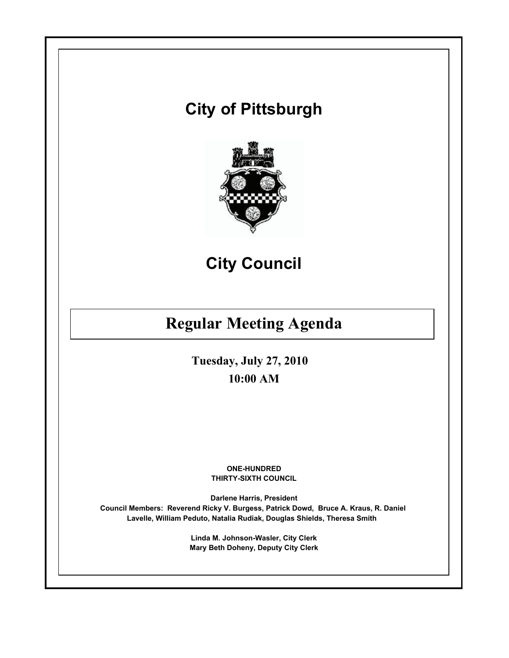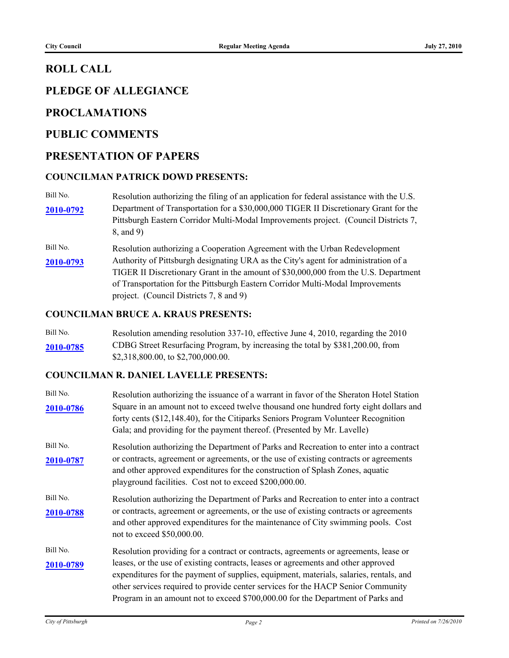### **ROLL CALL**

# **PLEDGE OF ALLEGIANCE**

### **PROCLAMATIONS**

### **PUBLIC COMMENTS**

### **PRESENTATION OF PAPERS**

#### **COUNCILMAN PATRICK DOWD PRESENTS:**

- Bill No. Resolution authorizing the filing of an application for federal assistance with the U.S. Department of Transportation for a \$30,000,000 TIGER II Discretionary Grant for the Pittsburgh Eastern Corridor Multi-Modal Improvements project. (Council Districts 7, 8, and 9) **[2010-0792](http://pittsburgh.legistar.com/gateway.aspx?M=L&ID=13361)**
- Bill No. Resolution authorizing a Cooperation Agreement with the Urban Redevelopment Authority of Pittsburgh designating URA as the City's agent for administration of a **[2010-0793](http://pittsburgh.legistar.com/gateway.aspx?M=L&ID=13362)** TIGER II Discretionary Grant in the amount of \$30,000,000 from the U.S. Department of Transportation for the Pittsburgh Eastern Corridor Multi-Modal Improvements project. (Council Districts 7, 8 and 9)

#### **COUNCILMAN BRUCE A. KRAUS PRESENTS:**

Bill No. Resolution amending resolution 337-10, effective June 4, 2010, regarding the 2010 CDBG Street Resurfacing Program, by increasing the total by \$381,200.00, from **[2010-0785](http://pittsburgh.legistar.com/gateway.aspx?M=L&ID=13355)** \$2,318,800.00, to \$2,700,000.00.

#### **COUNCILMAN R. DANIEL LAVELLE PRESENTS:**

| Bill No.<br>2010-0786 | Resolution authorizing the issuance of a warrant in favor of the Sheraton Hotel Station<br>Square in an amount not to exceed twelve thousand one hundred forty eight dollars and<br>forty cents (\$12,148.40), for the Citiparks Seniors Program Volunteer Recognition<br>Gala; and providing for the payment thereof. (Presented by Mr. Lavelle)                                                                                          |
|-----------------------|--------------------------------------------------------------------------------------------------------------------------------------------------------------------------------------------------------------------------------------------------------------------------------------------------------------------------------------------------------------------------------------------------------------------------------------------|
| Bill No.<br>2010-0787 | Resolution authorizing the Department of Parks and Recreation to enter into a contract<br>or contracts, agreement or agreements, or the use of existing contracts or agreements<br>and other approved expenditures for the construction of Splash Zones, aquatic<br>playground facilities. Cost not to exceed \$200,000.00.                                                                                                                |
| Bill No.<br>2010-0788 | Resolution authorizing the Department of Parks and Recreation to enter into a contract<br>or contracts, agreement or agreements, or the use of existing contracts or agreements<br>and other approved expenditures for the maintenance of City swimming pools. Cost<br>not to exceed \$50,000.00.                                                                                                                                          |
| Bill No.<br>2010-0789 | Resolution providing for a contract or contracts, agreements or agreements, lease or<br>leases, or the use of existing contracts, leases or agreements and other approved<br>expenditures for the payment of supplies, equipment, materials, salaries, rentals, and<br>other services required to provide center services for the HACP Senior Community<br>Program in an amount not to exceed \$700,000.00 for the Department of Parks and |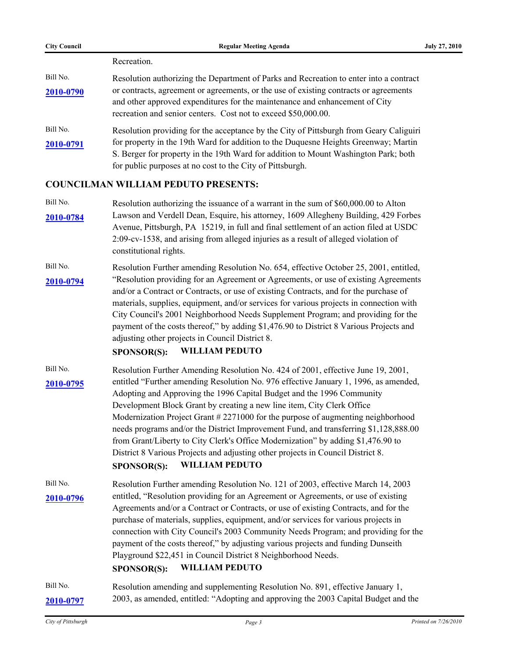| <b>City Council</b> | <b>Regular Meeting Agenda</b>                                                                                                                                                                                                          | July 27, 2010 |
|---------------------|----------------------------------------------------------------------------------------------------------------------------------------------------------------------------------------------------------------------------------------|---------------|
|                     | Recreation.                                                                                                                                                                                                                            |               |
| Bill No.            | Resolution authorizing the Department of Parks and Recreation to enter into a contract                                                                                                                                                 |               |
| 2010-0790           | or contracts, agreement or agreements, or the use of existing contracts or agreements<br>and other approved expenditures for the maintenance and enhancement of City<br>recreation and senior centers. Cost not to exceed \$50,000.00. |               |
| Bill No.            | Resolution providing for the acceptance by the City of Pittsburgh from Geary Caliguiri                                                                                                                                                 |               |
| 2010-0791           | for property in the 19th Ward for addition to the Duquesne Heights Greenway; Martin                                                                                                                                                    |               |
|                     | S. Berger for property in the 19th Ward for addition to Mount Washington Park; both                                                                                                                                                    |               |
|                     | for public purposes at no cost to the City of Pittsburgh.                                                                                                                                                                              |               |

#### **COUNCILMAN WILLIAM PEDUTO PRESENTS:**

- Bill No. Resolution authorizing the issuance of a warrant in the sum of \$60,000.00 to Alton Lawson and Verdell Dean, Esquire, his attorney, 1609 Allegheny Building, 429 Forbes **[2010-0784](http://pittsburgh.legistar.com/gateway.aspx?M=L&ID=13353)** Avenue, Pittsburgh, PA 15219, in full and final settlement of an action filed at USDC 2:09-cv-1538, and arising from alleged injuries as a result of alleged violation of constitutional rights.
- Bill No. Resolution Further amending Resolution No. 654, effective October 25, 2001, entitled, "Resolution providing for an Agreement or Agreements, or use of existing Agreements **[2010-0794](http://pittsburgh.legistar.com/gateway.aspx?M=L&ID=13363)** and/or a Contract or Contracts, or use of existing Contracts, and for the purchase of materials, supplies, equipment, and/or services for various projects in connection with City Council's 2001 Neighborhood Needs Supplement Program; and providing for the payment of the costs thereof," by adding \$1,476.90 to District 8 Various Projects and adjusting other projects in Council District 8.

#### **SPONSOR(S): WILLIAM PEDUTO**

Bill No. Resolution Further Amending Resolution No. 424 of 2001, effective June 19, 2001, [2010-0795](http://pittsburgh.legistar.com/gateway.aspx?M=L&ID=13364) entitled "Further amending Resolution No. 976 effective January 1, 1996, as amended, Adopting and Approving the 1996 Capital Budget and the 1996 Community Development Block Grant by creating a new line item, City Clerk Office Modernization Project Grant # 2271000 for the purpose of augmenting neighborhood needs programs and/or the District Improvement Fund, and transferring \$1,128,888.00 from Grant/Liberty to City Clerk's Office Modernization" by adding \$1,476.90 to District 8 Various Projects and adjusting other projects in Council District 8.

#### **SPONSOR(S): WILLIAM PEDUTO**

Bill No. Resolution Further amending Resolution No. 121 of 2003, effective March 14, 2003 [2010-0796](http://pittsburgh.legistar.com/gateway.aspx?M=L&ID=13365) entitled, "Resolution providing for an Agreement or Agreements, or use of existing Agreements and/or a Contract or Contracts, or use of existing Contracts, and for the purchase of materials, supplies, equipment, and/or services for various projects in connection with City Council's 2003 Community Needs Program; and providing for the payment of the costs thereof," by adjusting various projects and funding Dunseith Playground \$22,451 in Council District 8 Neighborhood Needs. **SPONSOR(S): WILLIAM PEDUTO**

Bill No. Resolution amending and supplementing Resolution No. 891, effective January 1, **[2010-0797](http://pittsburgh.legistar.com/gateway.aspx?M=L&ID=13366)** 2003, as amended, entitled: "Adopting and approving the 2003 Capital Budget and the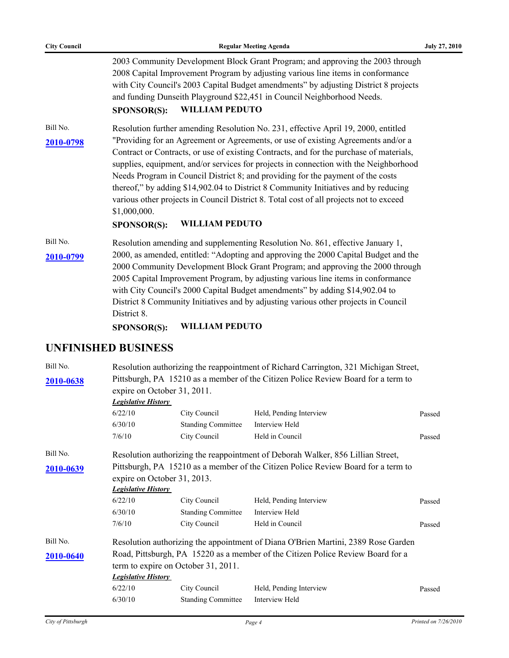| <b>City Council</b> | <b>Regular Meeting Agenda</b>                                                                                                                                                                                                                                                                                                                                                                                                                                                                                                                                                                            | <b>July 27, 2010</b> |
|---------------------|----------------------------------------------------------------------------------------------------------------------------------------------------------------------------------------------------------------------------------------------------------------------------------------------------------------------------------------------------------------------------------------------------------------------------------------------------------------------------------------------------------------------------------------------------------------------------------------------------------|----------------------|
|                     | 2003 Community Development Block Grant Program; and approving the 2003 through<br>2008 Capital Improvement Program by adjusting various line items in conformance<br>with City Council's 2003 Capital Budget amendments" by adjusting District 8 projects<br>and funding Dunseith Playground \$22,451 in Council Neighborhood Needs.<br><b>WILLIAM PEDUTO</b><br>SPONSOR(S):                                                                                                                                                                                                                             |                      |
| Bill No.            | Resolution further amending Resolution No. 231, effective April 19, 2000, entitled                                                                                                                                                                                                                                                                                                                                                                                                                                                                                                                       |                      |
| 2010-0798           | "Providing for an Agreement or Agreements, or use of existing Agreements and/or a<br>Contract or Contracts, or use of existing Contracts, and for the purchase of materials,<br>supplies, equipment, and/or services for projects in connection with the Neighborhood<br>Needs Program in Council District 8; and providing for the payment of the costs<br>thereof," by adding \$14,902.04 to District 8 Community Initiatives and by reducing<br>various other projects in Council District 8. Total cost of all projects not to exceed<br>\$1,000,000.<br><b>WILLIAM PEDUTO</b><br><b>SPONSOR(S):</b> |                      |
| Bill No.            | Resolution amending and supplementing Resolution No. 861, effective January 1,                                                                                                                                                                                                                                                                                                                                                                                                                                                                                                                           |                      |
| 2010-0799           | 2000, as amended, entitled: "Adopting and approving the 2000 Capital Budget and the<br>2000 Community Development Block Grant Program; and approving the 2000 through<br>2005 Capital Improvement Program, by adjusting various line items in conformance<br>with City Council's 2000 Capital Budget amendments" by adding \$14,902.04 to<br>District 8 Community Initiatives and by adjusting various other projects in Council<br>District 8.<br><b>WILLIAM PEDUTO</b><br><b>SPONSOR(S):</b>                                                                                                           |                      |
|                     | <b>UNFINISHED BUSINESS</b>                                                                                                                                                                                                                                                                                                                                                                                                                                                                                                                                                                               |                      |
| Bill No.            | Resolution authorizing the reappointment of Richard Carrington, 321 Michigan Street,                                                                                                                                                                                                                                                                                                                                                                                                                                                                                                                     |                      |
| 2010-0638           | Pittsburgh, PA 15210 as a member of the Citizen Police Review Board for a term to<br>expire on October 31, 2011.<br><i>Legislative History</i>                                                                                                                                                                                                                                                                                                                                                                                                                                                           |                      |

|           | есдізним познат                                                                   |                                     |                                                                                   |        |  |
|-----------|-----------------------------------------------------------------------------------|-------------------------------------|-----------------------------------------------------------------------------------|--------|--|
|           | 6/22/10                                                                           | City Council                        | Held, Pending Interview                                                           | Passed |  |
|           | 6/30/10                                                                           | <b>Standing Committee</b>           | Interview Held                                                                    |        |  |
|           | 7/6/10                                                                            | City Council                        | Held in Council                                                                   | Passed |  |
| Bill No.  |                                                                                   |                                     | Resolution authorizing the reappointment of Deborah Walker, 856 Lillian Street,   |        |  |
| 2010-0639 |                                                                                   |                                     | Pittsburgh, PA 15210 as a member of the Citizen Police Review Board for a term to |        |  |
|           | expire on October 31, 2013.                                                       |                                     |                                                                                   |        |  |
|           | <b>Legislative History</b>                                                        |                                     |                                                                                   |        |  |
|           | 6/22/10                                                                           | City Council                        | Held, Pending Interview                                                           | Passed |  |
|           | 6/30/10                                                                           | <b>Standing Committee</b>           | Interview Held                                                                    |        |  |
|           | 7/6/10                                                                            | City Council                        | Held in Council                                                                   | Passed |  |
| Bill No.  | Resolution authorizing the appointment of Diana O'Brien Martini, 2389 Rose Garden |                                     |                                                                                   |        |  |
| 2010-0640 |                                                                                   |                                     | Road, Pittsburgh, PA 15220 as a member of the Citizen Police Review Board for a   |        |  |
|           |                                                                                   | term to expire on October 31, 2011. |                                                                                   |        |  |
|           | <b>Legislative History</b>                                                        |                                     |                                                                                   |        |  |
|           | 6/22/10                                                                           | City Council                        | Held, Pending Interview                                                           | Passed |  |
|           | 6/30/10                                                                           | <b>Standing Committee</b>           | Interview Held                                                                    |        |  |
|           |                                                                                   |                                     |                                                                                   |        |  |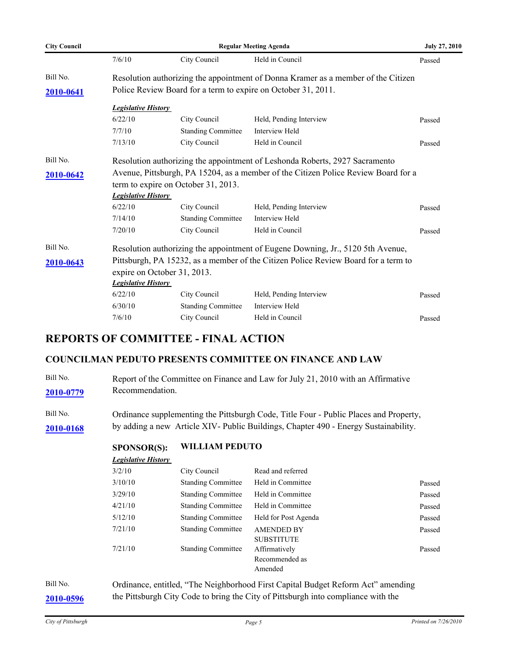| <b>City Council</b> | <b>Regular Meeting Agenda</b> |                                                                             |                                                                                    | <b>July 27, 2010</b> |  |  |  |
|---------------------|-------------------------------|-----------------------------------------------------------------------------|------------------------------------------------------------------------------------|----------------------|--|--|--|
|                     | 7/6/10                        | City Council                                                                | Held in Council                                                                    | Passed               |  |  |  |
| Bill No.            |                               |                                                                             | Resolution authorizing the appointment of Donna Kramer as a member of the Citizen  |                      |  |  |  |
| 2010-0641           |                               | Police Review Board for a term to expire on October 31, 2011.               |                                                                                    |                      |  |  |  |
|                     | <b>Legislative History</b>    |                                                                             |                                                                                    |                      |  |  |  |
|                     | 6/22/10                       | City Council                                                                | Held, Pending Interview                                                            | Passed               |  |  |  |
|                     | 7/7/10                        | <b>Standing Committee</b>                                                   | Interview Held                                                                     |                      |  |  |  |
|                     | 7/13/10                       | City Council                                                                | Held in Council                                                                    | Passed               |  |  |  |
| Bill No.            |                               | Resolution authorizing the appointment of Leshonda Roberts, 2927 Sacramento |                                                                                    |                      |  |  |  |
| 2010-0642           |                               |                                                                             | Avenue, Pittsburgh, PA 15204, as a member of the Citizen Police Review Board for a |                      |  |  |  |
|                     |                               | term to expire on October 31, 2013.                                         |                                                                                    |                      |  |  |  |
|                     | <b>Legislative History</b>    |                                                                             |                                                                                    |                      |  |  |  |
|                     | 6/22/10                       | City Council                                                                | Held, Pending Interview                                                            | Passed               |  |  |  |
|                     | 7/14/10                       | <b>Standing Committee</b>                                                   | Interview Held                                                                     |                      |  |  |  |
|                     | 7/20/10                       | City Council                                                                | Held in Council                                                                    | Passed               |  |  |  |
| Bill No.            |                               |                                                                             | Resolution authorizing the appointment of Eugene Downing, Jr., 5120 5th Avenue,    |                      |  |  |  |
| 2010-0643           |                               |                                                                             | Pittsburgh, PA 15232, as a member of the Citizen Police Review Board for a term to |                      |  |  |  |
|                     |                               | expire on October 31, 2013.                                                 |                                                                                    |                      |  |  |  |
|                     | <b>Legislative History</b>    |                                                                             |                                                                                    |                      |  |  |  |
|                     | 6/22/10                       | City Council                                                                | Held, Pending Interview                                                            | Passed               |  |  |  |
|                     | 6/30/10                       | <b>Standing Committee</b>                                                   | Interview Held                                                                     |                      |  |  |  |
|                     | 7/6/10                        | City Council                                                                | Held in Council                                                                    | Passed               |  |  |  |

# **REPORTS OF COMMITTEE - FINAL ACTION**

### **COUNCILMAN PEDUTO PRESENTS COMMITTEE ON FINANCE AND LAW**

| Bill No.  | Report of the Committee on Finance and Law for July 21, 2010 with an Affirmative      |
|-----------|---------------------------------------------------------------------------------------|
| 2010-0779 | Recommendation.                                                                       |
|           |                                                                                       |
| Bill No.  | Ordinance supplementing the Pittsburgh Code, Title Four - Public Places and Property, |
| 2010-0168 | by adding a new Article XIV- Public Buildings, Chapter 490 - Energy Sustainability.   |

**SPONSOR(S): WILLIAM PEDUTO**

*Legislative History* 

| 3/2/10  | City Council              | Read and referred                          |        |
|---------|---------------------------|--------------------------------------------|--------|
| 3/10/10 | <b>Standing Committee</b> | Held in Committee                          | Passed |
| 3/29/10 | <b>Standing Committee</b> | Held in Committee                          | Passed |
| 4/21/10 | <b>Standing Committee</b> | Held in Committee                          | Passed |
| 5/12/10 | <b>Standing Committee</b> | Held for Post Agenda                       | Passed |
| 7/21/10 | <b>Standing Committee</b> | <b>AMENDED BY</b><br><b>SUBSTITUTE</b>     | Passed |
| 7/21/10 | <b>Standing Committee</b> | Affirmatively<br>Recommended as<br>Amended | Passed |

Bill No. Ordinance, entitled, "The Neighborhood First Capital Budget Reform Act" amending **[2010-0596](http://pittsburgh.legistar.com/gateway.aspx?M=L&ID=13157)** the Pittsburgh City Code to bring the City of Pittsburgh into compliance with the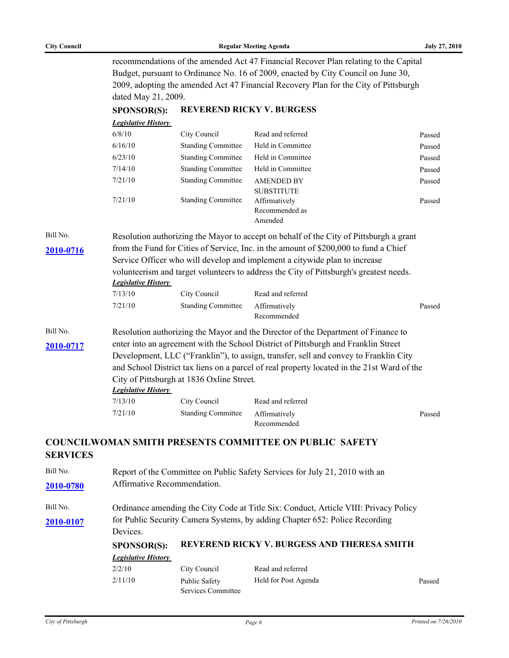| <b>City Council</b> |  |
|---------------------|--|
|                     |  |

**SPONSOR(S): REVEREND RICKY V. BURGESS**

recommendations of the amended Act 47 Financial Recover Plan relating to the Capital Budget, pursuant to Ordinance No. 16 of 2009, enacted by City Council on June 30, 2009, adopting the amended Act 47 Financial Recovery Plan for the City of Pittsburgh dated May 21, 2009.

| <b>Legislative History</b> |                           |                                        |        |
|----------------------------|---------------------------|----------------------------------------|--------|
| 6/8/10                     | City Council              | Read and referred                      | Passed |
| 6/16/10                    | <b>Standing Committee</b> | Held in Committee                      | Passed |
| 6/23/10                    | <b>Standing Committee</b> | Held in Committee                      | Passed |
| 7/14/10                    | <b>Standing Committee</b> | Held in Committee                      | Passed |
| 7/21/10                    | <b>Standing Committee</b> | <b>AMENDED BY</b><br><b>SUBSTITUTE</b> | Passed |
| 7/21/10                    | <b>Standing Committee</b> | Affirmatively<br>Recommended as        | Passed |
|                            |                           | Amended                                |        |

Bill No. Resolution authorizing the Mayor to accept on behalf of the City of Pittsburgh a grant [2010-0716](http://pittsburgh.legistar.com/gateway.aspx?M=L&ID=13282) from the Fund for Cities of Service, Inc. in the amount of \$200,000 to fund a Chief Service Officer who will develop and implement a citywide plan to increase volunteerism and target volunteers to address the City of Pittsburgh's greatest needs. *Legislative History* 

| 7/13/10 | City Council              | Read and referred            |        |
|---------|---------------------------|------------------------------|--------|
| 7/21/10 | <b>Standing Committee</b> | Affirmatively<br>Recommended | Passed |

Bill No. Resolution authorizing the Mayor and the Director of the Department of Finance to [2010-0717](http://pittsburgh.legistar.com/gateway.aspx?M=L&ID=13283) enter into an agreement with the School District of Pittsburgh and Franklin Street Development, LLC ("Franklin"), to assign, transfer, sell and convey to Franklin City and School District tax liens on a parcel of real property located in the 21st Ward of the City of Pittsburgh at 1836 Oxline Street.

# *Legislative History*

| 7/13/10 | City Council                     | Read and referred |        |
|---------|----------------------------------|-------------------|--------|
| 7/21/10 | Standing Committee Affirmatively |                   | Passed |
|         |                                  | Recommended       |        |

### **COUNCILWOMAN SMITH PRESENTS COMMITTEE ON PUBLIC SAFETY SERVICES**

Bill No. Report of the Committee on Public Safety Services for July 21, 2010 with an **[2010-0780](http://pittsburgh.legistar.com/gateway.aspx?M=L&ID=13349)** Affirmative Recommendation.

Bill No. Cordinance amending the City Code at Title Six: Conduct, Article VIII: Privacy Policy [2010-0107](http://pittsburgh.legistar.com/gateway.aspx?M=L&ID=12612) for Public Security Camera Systems, by adding Chapter 652: Police Recording Devices.

# **SPONSOR(S): REVEREND RICKY V. BURGESS AND THERESA SMITH**

#### *Legislative History*

| 2/2/10  | City Council       | Read and referred    |        |
|---------|--------------------|----------------------|--------|
| 2/11/10 | Public Safety      | Held for Post Agenda | Passed |
|         | Services Committee |                      |        |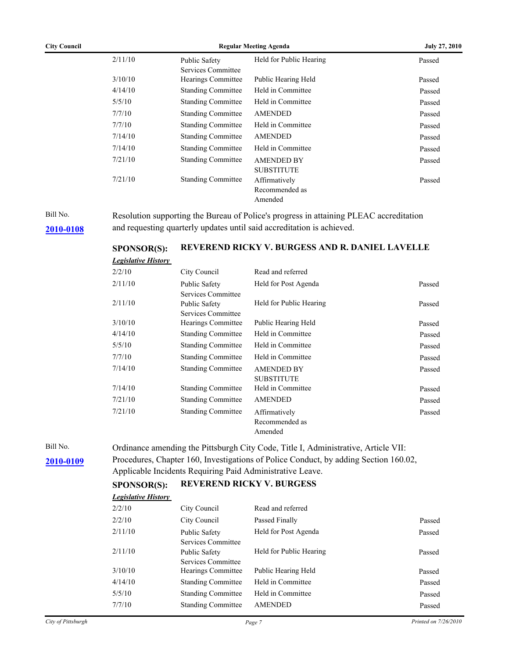| <b>City Council</b> | <b>Regular Meeting Agenda</b> |                                     |                         | <b>July 27, 2010</b> |
|---------------------|-------------------------------|-------------------------------------|-------------------------|----------------------|
|                     | 2/11/10                       | Public Safety<br>Services Committee | Held for Public Hearing | Passed               |
|                     | 3/10/10                       | Hearings Committee                  | Public Hearing Held     | Passed               |
|                     | 4/14/10                       | <b>Standing Committee</b>           | Held in Committee       | Passed               |
|                     | 5/5/10                        | <b>Standing Committee</b>           | Held in Committee       | Passed               |
|                     | 7/7/10                        | <b>Standing Committee</b>           | <b>AMENDED</b>          | Passed               |
|                     | 7/7/10                        | <b>Standing Committee</b>           | Held in Committee       | Passed               |
|                     | 7/14/10                       | <b>Standing Committee</b>           | <b>AMENDED</b>          | Passed               |
|                     | 7/14/10                       | <b>Standing Committee</b>           | Held in Committee       | Passed               |
|                     | 7/21/10                       | <b>Standing Committee</b>           | <b>AMENDED BY</b>       | Passed               |
|                     |                               |                                     | <b>SUBSTITUTE</b>       |                      |
|                     | 7/21/10                       | <b>Standing Committee</b>           | Affirmatively           | Passed               |
|                     |                               |                                     | Recommended as          |                      |
|                     |                               |                                     | Amended                 |                      |

Bill No. Resolution supporting the Bureau of Police's progress in attaining PLEAC accreditation **[2010-0108](http://pittsburgh.legistar.com/gateway.aspx?M=L&ID=12613)** and requesting quarterly updates until said accreditation is achieved.

### **SPONSOR(S): REVEREND RICKY V. BURGESS AND R. DANIEL LAVELLE**

| <b>Legislative History</b> |                                     |                                            |        |
|----------------------------|-------------------------------------|--------------------------------------------|--------|
| 2/2/10                     | City Council                        | Read and referred                          |        |
| 2/11/10                    | Public Safety<br>Services Committee | Held for Post Agenda                       | Passed |
| 2/11/10                    | Public Safety<br>Services Committee | Held for Public Hearing                    | Passed |
| 3/10/10                    | Hearings Committee                  | Public Hearing Held                        | Passed |
| 4/14/10                    | <b>Standing Committee</b>           | Held in Committee                          | Passed |
| 5/5/10                     | <b>Standing Committee</b>           | Held in Committee                          | Passed |
| 7/7/10                     | <b>Standing Committee</b>           | Held in Committee                          | Passed |
| 7/14/10                    | <b>Standing Committee</b>           | <b>AMENDED BY</b><br><b>SUBSTITUTE</b>     | Passed |
| 7/14/10                    | <b>Standing Committee</b>           | Held in Committee                          | Passed |
| 7/21/10                    | <b>Standing Committee</b>           | <b>AMENDED</b>                             | Passed |
| 7/21/10                    | <b>Standing Committee</b>           | Affirmatively<br>Recommended as<br>Amended | Passed |

Bill No. Crdinance amending the Pittsburgh City Code, Title I, Administrative, Article VII: [2010-0109](http://pittsburgh.legistar.com/gateway.aspx?M=L&ID=12614) Procedures, Chapter 160, Investigations of Police Conduct, by adding Section 160.02, Applicable Incidents Requiring Paid Administrative Leave.

#### **SPONSOR(S): REVEREND RICKY V. BURGESS**

| <b>Legislative History</b> |                           |                         |        |
|----------------------------|---------------------------|-------------------------|--------|
| 2/2/10                     | City Council              | Read and referred       |        |
| 2/2/10                     | City Council              | Passed Finally          | Passed |
| 2/11/10                    | Public Safety             | Held for Post Agenda    | Passed |
|                            | Services Committee        |                         |        |
| 2/11/10                    | Public Safety             | Held for Public Hearing | Passed |
|                            | Services Committee        |                         |        |
| 3/10/10                    | Hearings Committee        | Public Hearing Held     | Passed |
| 4/14/10                    | <b>Standing Committee</b> | Held in Committee       | Passed |
| 5/5/10                     | <b>Standing Committee</b> | Held in Committee       | Passed |
| 7/7/10                     | <b>Standing Committee</b> | <b>AMENDED</b>          | Passed |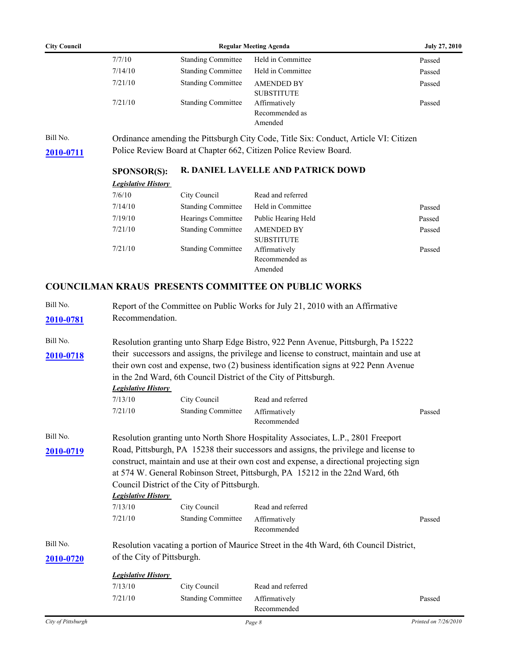| <b>City Council</b> | <b>Regular Meeting Agenda</b> | <b>July 27, 2010</b>                       |        |
|---------------------|-------------------------------|--------------------------------------------|--------|
| 7/7/10              | <b>Standing Committee</b>     | Held in Committee                          | Passed |
| 7/14/10             | <b>Standing Committee</b>     | Held in Committee                          | Passed |
| 7/21/10             | <b>Standing Committee</b>     | <b>AMENDED BY</b><br><b>SUBSTITUTE</b>     | Passed |
| 7/21/10             | <b>Standing Committee</b>     | Affirmatively<br>Recommended as<br>Amended | Passed |

Bill No. Ordinance amending the Pittsburgh City Code, Title Six: Conduct, Article VI: Citizen **[2010-0711](http://pittsburgh.legistar.com/gateway.aspx?M=L&ID=13277)** Police Review Board at Chapter 662, Citizen Police Review Board.

### **SPONSOR(S): R. DANIEL LAVELLE AND PATRICK DOWD**

| City Council              | Read and referred   |        |
|---------------------------|---------------------|--------|
| <b>Standing Committee</b> | Held in Committee   | Passed |
| Hearings Committee        | Public Hearing Held | Passed |
| <b>Standing Committee</b> | <b>AMENDED BY</b>   | Passed |
|                           | <b>SUBSTITUTE</b>   |        |
| <b>Standing Committee</b> | Affirmatively       | Passed |
|                           | Recommended as      |        |
|                           | Amended             |        |
|                           |                     |        |

### **COUNCILMAN KRAUS PRESENTS COMMITTEE ON PUBLIC WORKS**

| Bill No.           |                            |                                                                  | Report of the Committee on Public Works for July 21, 2010 with an Affirmative             |                      |  |
|--------------------|----------------------------|------------------------------------------------------------------|-------------------------------------------------------------------------------------------|----------------------|--|
| 2010-0781          | Recommendation.            |                                                                  |                                                                                           |                      |  |
| Bill No.           |                            |                                                                  | Resolution granting unto Sharp Edge Bistro, 922 Penn Avenue, Pittsburgh, Pa 15222         |                      |  |
| 2010-0718          |                            |                                                                  | their successors and assigns, the privilege and license to construct, maintain and use at |                      |  |
|                    |                            |                                                                  | their own cost and expense, two (2) business identification signs at 922 Penn Avenue      |                      |  |
|                    |                            | in the 2nd Ward, 6th Council District of the City of Pittsburgh. |                                                                                           |                      |  |
|                    | <b>Legislative History</b> |                                                                  |                                                                                           |                      |  |
|                    | 7/13/10                    | City Council                                                     | Read and referred                                                                         |                      |  |
|                    | 7/21/10                    | <b>Standing Committee</b>                                        | Affirmatively<br>Recommended                                                              | Passed               |  |
| Bill No.           |                            |                                                                  | Resolution granting unto North Shore Hospitality Associates, L.P., 2801 Freeport          |                      |  |
| 2010-0719          |                            |                                                                  | Road, Pittsburgh, PA 15238 their successors and assigns, the privilege and license to     |                      |  |
|                    |                            |                                                                  | construct, maintain and use at their own cost and expense, a directional projecting sign  |                      |  |
|                    |                            |                                                                  | at 574 W. General Robinson Street, Pittsburgh, PA 15212 in the 22nd Ward, 6th             |                      |  |
|                    |                            | Council District of the City of Pittsburgh.                      |                                                                                           |                      |  |
|                    | <b>Legislative History</b> |                                                                  |                                                                                           |                      |  |
|                    | 7/13/10                    | City Council                                                     | Read and referred                                                                         |                      |  |
|                    | 7/21/10                    | <b>Standing Committee</b>                                        | Affirmatively<br>Recommended                                                              | Passed               |  |
| Bill No.           |                            |                                                                  | Resolution vacating a portion of Maurice Street in the 4th Ward, 6th Council District,    |                      |  |
| 2010-0720          | of the City of Pittsburgh. |                                                                  |                                                                                           |                      |  |
|                    | <b>Legislative History</b> |                                                                  |                                                                                           |                      |  |
|                    | 7/13/10                    | City Council                                                     | Read and referred                                                                         |                      |  |
|                    | 7/21/10                    | <b>Standing Committee</b>                                        | Affirmatively                                                                             | Passed               |  |
|                    |                            |                                                                  | Recommended                                                                               |                      |  |
| City of Pittsburgh |                            |                                                                  | Page 8                                                                                    | Printed on 7/26/2010 |  |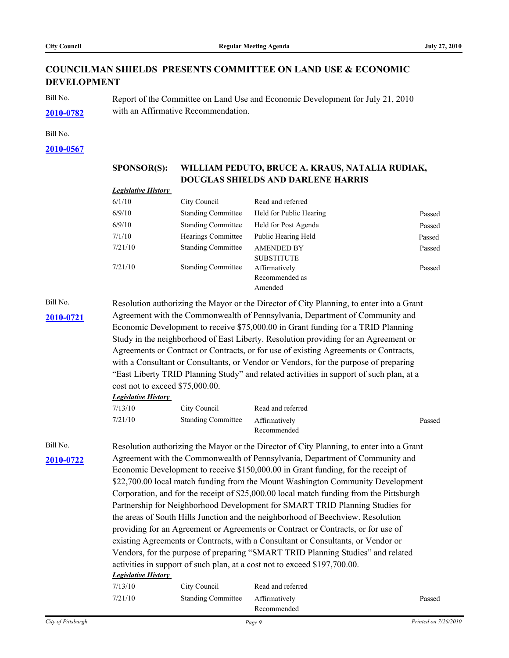# **COUNCILMAN SHIELDS PRESENTS COMMITTEE ON LAND USE & ECONOMIC DEVELOPMENT**

Bill No. Report of the Committee on Land Use and Economic Development for July 21, 2010 **[2010-0782](http://pittsburgh.legistar.com/gateway.aspx?M=L&ID=13351)** with an Affirmative Recommendation.

Bill No.

**[2010-0567](http://pittsburgh.legistar.com/gateway.aspx?M=L&ID=13126)**

|           | <b>SPONSOR(S):</b>                                                                |                                                                                                                                                                          | WILLIAM PEDUTO, BRUCE A. KRAUS, NATALIA RUDIAK,                                          |        |  |  |  |
|-----------|-----------------------------------------------------------------------------------|--------------------------------------------------------------------------------------------------------------------------------------------------------------------------|------------------------------------------------------------------------------------------|--------|--|--|--|
|           |                                                                                   |                                                                                                                                                                          | DOUGLAS SHIELDS AND DARLENE HARRIS                                                       |        |  |  |  |
|           | <b>Legislative History</b>                                                        |                                                                                                                                                                          |                                                                                          |        |  |  |  |
|           | 6/1/10                                                                            | City Council                                                                                                                                                             | Read and referred                                                                        |        |  |  |  |
|           | 6/9/10                                                                            | <b>Standing Committee</b>                                                                                                                                                | Held for Public Hearing                                                                  | Passed |  |  |  |
|           | 6/9/10                                                                            | <b>Standing Committee</b>                                                                                                                                                | Held for Post Agenda                                                                     | Passed |  |  |  |
|           | 7/1/10                                                                            | Hearings Committee                                                                                                                                                       | Public Hearing Held                                                                      | Passed |  |  |  |
|           | 7/21/10                                                                           | <b>Standing Committee</b>                                                                                                                                                | <b>AMENDED BY</b><br><b>SUBSTITUTE</b>                                                   | Passed |  |  |  |
|           | 7/21/10                                                                           | <b>Standing Committee</b>                                                                                                                                                | Affirmatively<br>Recommended as<br>Amended                                               | Passed |  |  |  |
| Bill No.  |                                                                                   |                                                                                                                                                                          |                                                                                          |        |  |  |  |
| 2010-0721 |                                                                                   | Resolution authorizing the Mayor or the Director of City Planning, to enter into a Grant<br>Agreement with the Commonwealth of Pennsylvania, Department of Community and |                                                                                          |        |  |  |  |
|           |                                                                                   |                                                                                                                                                                          | Economic Development to receive \$75,000.00 in Grant funding for a TRID Planning         |        |  |  |  |
|           |                                                                                   | Study in the neighborhood of East Liberty. Resolution providing for an Agreement or                                                                                      |                                                                                          |        |  |  |  |
|           |                                                                                   |                                                                                                                                                                          | Agreements or Contract or Contracts, or for use of existing Agreements or Contracts,     |        |  |  |  |
|           |                                                                                   | with a Consultant or Consultants, or Vendor or Vendors, for the purpose of preparing                                                                                     |                                                                                          |        |  |  |  |
|           |                                                                                   | "East Liberty TRID Planning Study" and related activities in support of such plan, at a                                                                                  |                                                                                          |        |  |  |  |
|           |                                                                                   | cost not to exceed \$75,000.00.                                                                                                                                          |                                                                                          |        |  |  |  |
|           | <b>Legislative History</b>                                                        |                                                                                                                                                                          |                                                                                          |        |  |  |  |
|           | 7/13/10                                                                           | City Council                                                                                                                                                             | Read and referred                                                                        |        |  |  |  |
|           | 7/21/10                                                                           | <b>Standing Committee</b>                                                                                                                                                | Affirmatively<br>Recommended                                                             | Passed |  |  |  |
| Bill No.  |                                                                                   |                                                                                                                                                                          | Resolution authorizing the Mayor or the Director of City Planning, to enter into a Grant |        |  |  |  |
| 2010-0722 | Agreement with the Commonwealth of Pennsylvania, Department of Community and      |                                                                                                                                                                          |                                                                                          |        |  |  |  |
|           | Economic Development to receive \$150,000.00 in Grant funding, for the receipt of |                                                                                                                                                                          |                                                                                          |        |  |  |  |
|           | \$22,700.00 local match funding from the Mount Washington Community Development   |                                                                                                                                                                          |                                                                                          |        |  |  |  |
|           |                                                                                   | Corporation, and for the receipt of \$25,000.00 local match funding from the Pittsburgh                                                                                  |                                                                                          |        |  |  |  |
|           |                                                                                   | Partnership for Neighborhood Development for SMART TRID Planning Studies for                                                                                             |                                                                                          |        |  |  |  |
|           |                                                                                   | the areas of South Hills Junction and the neighborhood of Beechview. Resolution                                                                                          |                                                                                          |        |  |  |  |
|           |                                                                                   |                                                                                                                                                                          | providing for an Agreement or Agreements or Contract or Contracts, or for use of         |        |  |  |  |
|           |                                                                                   |                                                                                                                                                                          | existing Agreements or Contracts, with a Consultant or Consultants, or Vendor or         |        |  |  |  |
|           |                                                                                   |                                                                                                                                                                          | Vendors, for the purpose of preparing "SMART TRID Planning Studies" and related          |        |  |  |  |
|           | activities in support of such plan, at a cost not to exceed \$197,700.00.         |                                                                                                                                                                          |                                                                                          |        |  |  |  |
|           | <b>Legislative History</b>                                                        |                                                                                                                                                                          |                                                                                          |        |  |  |  |
|           | 7/13/10                                                                           | City Council                                                                                                                                                             | Read and referred                                                                        |        |  |  |  |
|           | 7/21/10                                                                           | <b>Standing Committee</b>                                                                                                                                                | Affirmatively<br>Recommended                                                             | Passed |  |  |  |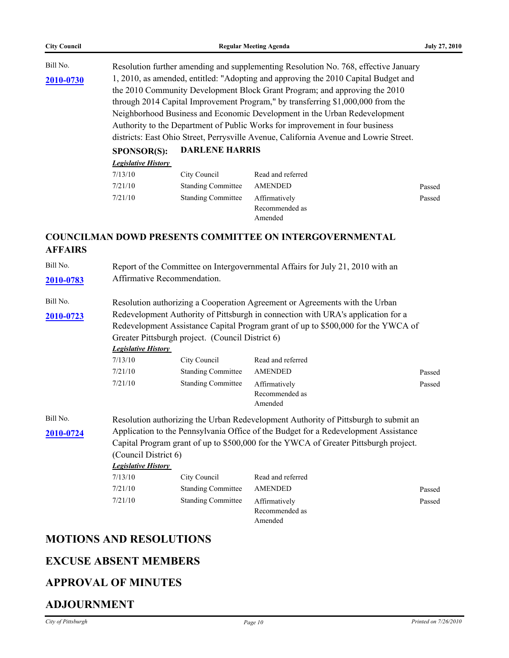| <b>City Council</b> | <b>Regular Meeting Agenda</b><br><b>July 27, 2010</b>                                                                                                                                                                                                                                                                                                                                                                                                                                                     |                                                                                                               |                                                                                     |        |  |  |
|---------------------|-----------------------------------------------------------------------------------------------------------------------------------------------------------------------------------------------------------------------------------------------------------------------------------------------------------------------------------------------------------------------------------------------------------------------------------------------------------------------------------------------------------|---------------------------------------------------------------------------------------------------------------|-------------------------------------------------------------------------------------|--------|--|--|
| Bill No.            | Resolution further amending and supplementing Resolution No. 768, effective January                                                                                                                                                                                                                                                                                                                                                                                                                       |                                                                                                               |                                                                                     |        |  |  |
| 2010-0730           | 1, 2010, as amended, entitled: "Adopting and approving the 2010 Capital Budget and<br>the 2010 Community Development Block Grant Program; and approving the 2010<br>through 2014 Capital Improvement Program," by transferring \$1,000,000 from the<br>Neighborhood Business and Economic Development in the Urban Redevelopment<br>Authority to the Department of Public Works for improvement in four business<br>districts: East Ohio Street, Perrysville Avenue, California Avenue and Lowrie Street. |                                                                                                               |                                                                                     |        |  |  |
|                     | <b>SPONSOR(S):</b>                                                                                                                                                                                                                                                                                                                                                                                                                                                                                        | <b>DARLENE HARRIS</b>                                                                                         |                                                                                     |        |  |  |
|                     | <b>Legislative History</b>                                                                                                                                                                                                                                                                                                                                                                                                                                                                                |                                                                                                               |                                                                                     |        |  |  |
|                     | 7/13/10                                                                                                                                                                                                                                                                                                                                                                                                                                                                                                   | City Council                                                                                                  | Read and referred                                                                   |        |  |  |
|                     | 7/21/10                                                                                                                                                                                                                                                                                                                                                                                                                                                                                                   | <b>Standing Committee</b>                                                                                     | <b>AMENDED</b>                                                                      | Passed |  |  |
|                     | 7/21/10                                                                                                                                                                                                                                                                                                                                                                                                                                                                                                   | <b>Standing Committee</b>                                                                                     | Affirmatively<br>Recommended as<br>Amended                                          | Passed |  |  |
| <b>AFFAIRS</b>      |                                                                                                                                                                                                                                                                                                                                                                                                                                                                                                           |                                                                                                               | <b>COUNCILMAN DOWD PRESENTS COMMITTEE ON INTERGOVERNMENTAL</b>                      |        |  |  |
| Bill No.            |                                                                                                                                                                                                                                                                                                                                                                                                                                                                                                           |                                                                                                               |                                                                                     |        |  |  |
| 2010-0783           |                                                                                                                                                                                                                                                                                                                                                                                                                                                                                                           | Report of the Committee on Intergovernmental Affairs for July 21, 2010 with an<br>Affirmative Recommendation. |                                                                                     |        |  |  |
| Bill No.            |                                                                                                                                                                                                                                                                                                                                                                                                                                                                                                           |                                                                                                               | Resolution authorizing a Cooperation Agreement or Agreements with the Urban         |        |  |  |
| 2010-0723           | Redevelopment Authority of Pittsburgh in connection with URA's application for a<br>Redevelopment Assistance Capital Program grant of up to \$500,000 for the YWCA of<br>Greater Pittsburgh project. (Council District 6)<br><b>Legislative History</b>                                                                                                                                                                                                                                                   |                                                                                                               |                                                                                     |        |  |  |
|                     | 7/13/10                                                                                                                                                                                                                                                                                                                                                                                                                                                                                                   | City Council                                                                                                  | Read and referred                                                                   |        |  |  |
|                     | 7/21/10                                                                                                                                                                                                                                                                                                                                                                                                                                                                                                   | <b>Standing Committee</b>                                                                                     | <b>AMENDED</b>                                                                      | Passed |  |  |
|                     | 7/21/10                                                                                                                                                                                                                                                                                                                                                                                                                                                                                                   | <b>Standing Committee</b>                                                                                     | Affirmatively<br>Recommended as<br>Amended                                          | Passed |  |  |
| Bill No.            |                                                                                                                                                                                                                                                                                                                                                                                                                                                                                                           |                                                                                                               | Resolution authorizing the Urban Redevelopment Authority of Pittsburgh to submit an |        |  |  |
| 2010-0724           | Application to the Pennsylvania Office of the Budget for a Redevelopment Assistance<br>Capital Program grant of up to \$500,000 for the YWCA of Greater Pittsburgh project.<br>(Council District 6)                                                                                                                                                                                                                                                                                                       |                                                                                                               |                                                                                     |        |  |  |
|                     | <b>Legislative History</b>                                                                                                                                                                                                                                                                                                                                                                                                                                                                                |                                                                                                               |                                                                                     |        |  |  |
|                     | 7/13/10                                                                                                                                                                                                                                                                                                                                                                                                                                                                                                   | City Council                                                                                                  | Read and referred                                                                   |        |  |  |
|                     | 7/21/10                                                                                                                                                                                                                                                                                                                                                                                                                                                                                                   | <b>Standing Committee</b>                                                                                     | <b>AMENDED</b>                                                                      | Passed |  |  |
|                     | 7/21/10                                                                                                                                                                                                                                                                                                                                                                                                                                                                                                   | <b>Standing Committee</b>                                                                                     | Affirmatively<br>Recommended as<br>Amended                                          | Passed |  |  |

# **MOTIONS AND RESOLUTIONS**

# **EXCUSE ABSENT MEMBERS**

# **APPROVAL OF MINUTES**

# **ADJOURNMENT**